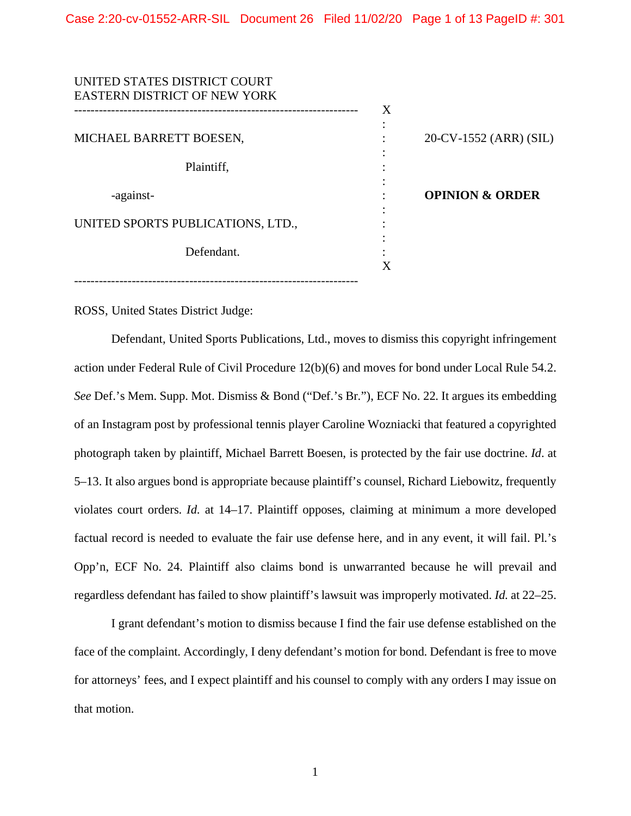| UNITED STATES DISTRICT COURT        |   |                            |
|-------------------------------------|---|----------------------------|
| <b>EASTERN DISTRICT OF NEW YORK</b> |   |                            |
|                                     | X |                            |
|                                     |   |                            |
| MICHAEL BARRETT BOESEN,             |   | 20-CV-1552 (ARR) (SIL)     |
|                                     |   |                            |
| Plaintiff,                          |   |                            |
|                                     |   |                            |
| -against-                           |   | <b>OPINION &amp; ORDER</b> |
|                                     |   |                            |
| UNITED SPORTS PUBLICATIONS, LTD.,   |   |                            |
|                                     |   |                            |
| Defendant.                          |   |                            |
|                                     | X |                            |
|                                     |   |                            |
|                                     |   |                            |

ROSS, United States District Judge:

Defendant, United Sports Publications, Ltd., moves to dismiss this copyright infringement action under Federal Rule of Civil Procedure 12(b)(6) and moves for bond under Local Rule 54.2. *See* Def.'s Mem. Supp. Mot. Dismiss & Bond ("Def.'s Br."), ECF No. 22. It argues its embedding of an Instagram post by professional tennis player Caroline Wozniacki that featured a copyrighted photograph taken by plaintiff, Michael Barrett Boesen, is protected by the fair use doctrine. *Id*. at 5–13. It also argues bond is appropriate because plaintiff's counsel, Richard Liebowitz, frequently violates court orders. *Id*. at 14–17. Plaintiff opposes, claiming at minimum a more developed factual record is needed to evaluate the fair use defense here, and in any event, it will fail. Pl.'s Opp'n, ECF No. 24. Plaintiff also claims bond is unwarranted because he will prevail and regardless defendant has failed to show plaintiff's lawsuit was improperly motivated. *Id*. at 22–25.

I grant defendant's motion to dismiss because I find the fair use defense established on the face of the complaint. Accordingly, I deny defendant's motion for bond. Defendant is free to move for attorneys' fees, and I expect plaintiff and his counsel to comply with any orders I may issue on that motion.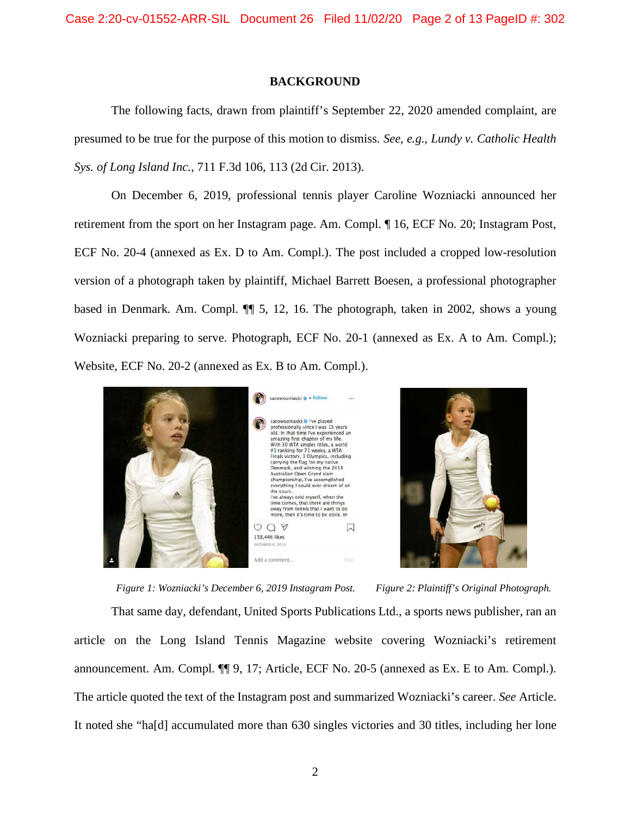#### **BACKGROUND**

The following facts, drawn from plaintiff's September 22, 2020 amended complaint, are presumed to be true for the purpose of this motion to dismiss. *See, e.g.*, *Lundy v. Catholic Health Sys. of Long Island Inc.*, 711 F.3d 106, 113 (2d Cir. 2013).

On December 6, 2019, professional tennis player Caroline Wozniacki announced her retirement from the sport on her Instagram page. Am. Compl. ¶ 16, ECF No. 20; Instagram Post, ECF No. 20-4 (annexed as Ex. D to Am. Compl.). The post included a cropped low-resolution version of a photograph taken by plaintiff, Michael Barrett Boesen, a professional photographer based in Denmark. Am. Compl. ¶¶ 5, 12, 16. The photograph, taken in 2002, shows a young Wozniacki preparing to serve. Photograph, ECF No. 20-1 (annexed as Ex. A to Am. Compl.); Website, ECF No. 20-2 (annexed as Ex. B to Am. Compl.).





*Figure 1: Wozniacki's December 6, 2019 Instagram Post. Figure 2: Plaintiff's Original Photograph.* That same day, defendant, United Sports Publications Ltd., a sports news publisher, ran an article on the Long Island Tennis Magazine website covering Wozniacki's retirement announcement. Am. Compl. ¶¶ 9, 17; Article, ECF No. 20-5 (annexed as Ex. E to Am. Compl.). The article quoted the text of the Instagram post and summarized Wozniacki's career. *See* Article. It noted she "ha[d] accumulated more than 630 singles victories and 30 titles, including her lone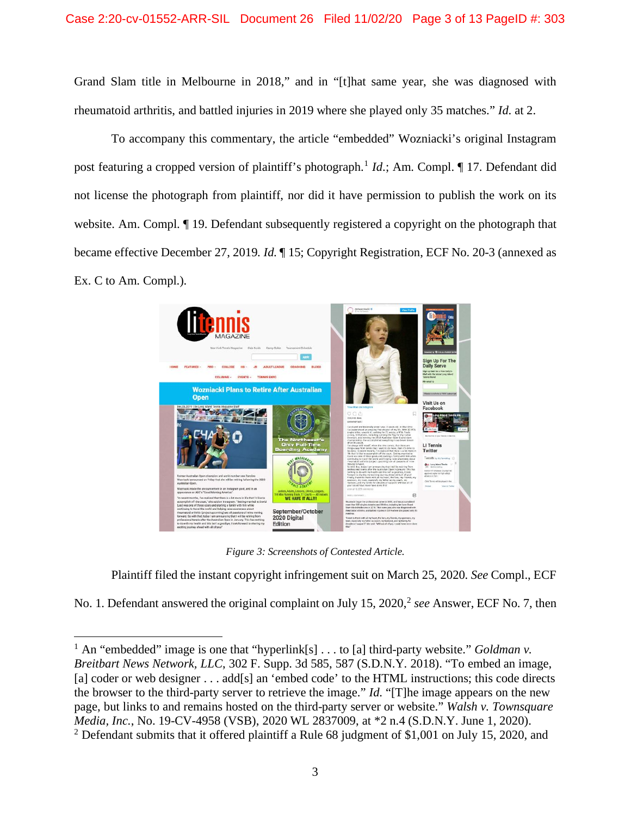Grand Slam title in Melbourne in 2018," and in "[t]hat same year, she was diagnosed with rheumatoid arthritis, and battled injuries in 2019 where she played only 35 matches." *Id*. at 2.

To accompany this commentary, the article "embedded" Wozniacki's original Instagram post featuring a cropped version of plaintiff's photograph.<sup>[1](#page-2-0)</sup> *Id*.; Am. Compl. ¶ 17. Defendant did not license the photograph from plaintiff, nor did it have permission to publish the work on its website. Am. Compl. ¶ 19. Defendant subsequently registered a copyright on the photograph that became effective December 27, 2019. *Id*. ¶ 15; Copyright Registration, ECF No. 20-3 (annexed as Ex. C to Am. Compl.).



*Figure 3: Screenshots of Contested Article.*

Plaintiff filed the instant copyright infringement suit on March 25, 2020. *See* Compl., ECF

No. 1. Defendant answered the original complaint on July 15, [2](#page-2-1)020,<sup>2</sup> see Answer, ECF No. 7, then

<span id="page-2-0"></span><sup>&</sup>lt;sup>1</sup> An "embedded" image is one that "hyperlink[s]  $\ldots$  to [a] third-party website." *Goldman v. Breitbart News Network, LLC*, 302 F. Supp. 3d 585, 587 (S.D.N.Y. 2018). "To embed an image, [a] coder or web designer . . . add[s] an 'embed code' to the HTML instructions; this code directs the browser to the third-party server to retrieve the image." *Id*. "[T]he image appears on the new page, but links to and remains hosted on the third-party server or website." *Walsh v. Townsquare Media, Inc.*, No. 19-CV-4958 (VSB), 2020 WL 2837009, at \*2 n.4 (S.D.N.Y. June 1, 2020).

<span id="page-2-1"></span><sup>&</sup>lt;sup>2</sup> Defendant submits that it offered plaintiff a Rule 68 judgment of \$1,001 on July 15, 2020, and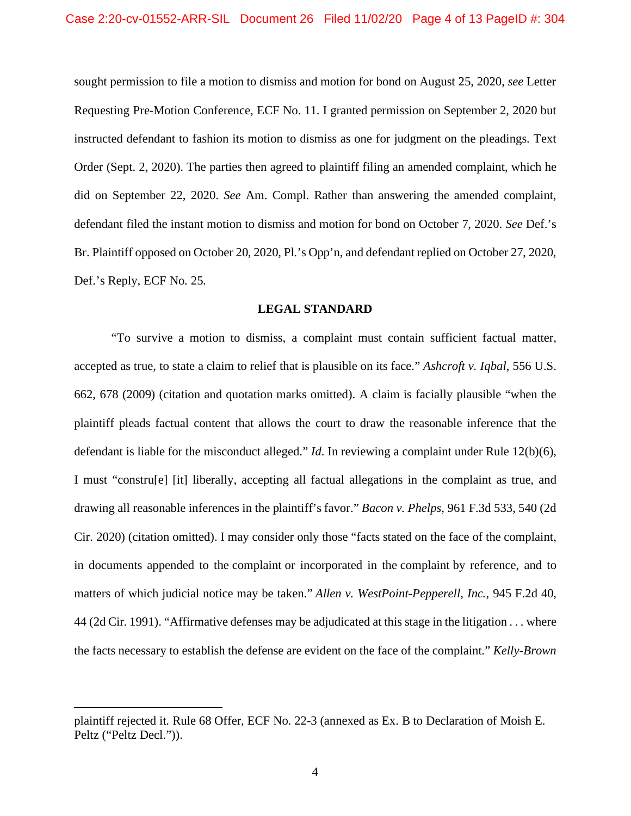sought permission to file a motion to dismiss and motion for bond on August 25, 2020, *see* Letter Requesting Pre-Motion Conference, ECF No. 11. I granted permission on September 2, 2020 but instructed defendant to fashion its motion to dismiss as one for judgment on the pleadings. Text Order (Sept. 2, 2020). The parties then agreed to plaintiff filing an amended complaint, which he did on September 22, 2020. *See* Am. Compl. Rather than answering the amended complaint, defendant filed the instant motion to dismiss and motion for bond on October 7, 2020. *See* Def.'s Br. Plaintiff opposed on October 20, 2020, Pl.'s Opp'n, and defendant replied on October 27, 2020, Def.'s Reply, ECF No. 25.

#### **LEGAL STANDARD**

"To survive a motion to dismiss, a complaint must contain sufficient factual matter, accepted as true, to state a claim to relief that is plausible on its face." *Ashcroft v. Iqbal*, 556 U.S. 662, 678 (2009) (citation and quotation marks omitted). A claim is facially plausible "when the plaintiff pleads factual content that allows the court to draw the reasonable inference that the defendant is liable for the misconduct alleged." *Id*. In reviewing a complaint under Rule 12(b)(6), I must "constru[e] [it] liberally, accepting all factual allegations in the complaint as true, and drawing all reasonable inferences in the plaintiff's favor." *Bacon v. Phelps*, 961 F.3d 533, 540 (2d Cir. 2020) (citation omitted). I may consider only those "facts stated on the face of the complaint, in documents appended to the complaint or incorporated in the complaint by reference, and to matters of which judicial notice may be taken." *Allen v. WestPoint-Pepperell, Inc.*, 945 F.2d 40, 44 (2d Cir. 1991). "Affirmative defenses may be adjudicated at this stage in the litigation . . . where the facts necessary to establish the defense are evident on the face of the complaint." *Kelly-Brown* 

plaintiff rejected it. Rule 68 Offer, ECF No. 22-3 (annexed as Ex. B to Declaration of Moish E. Peltz ("Peltz Decl.")).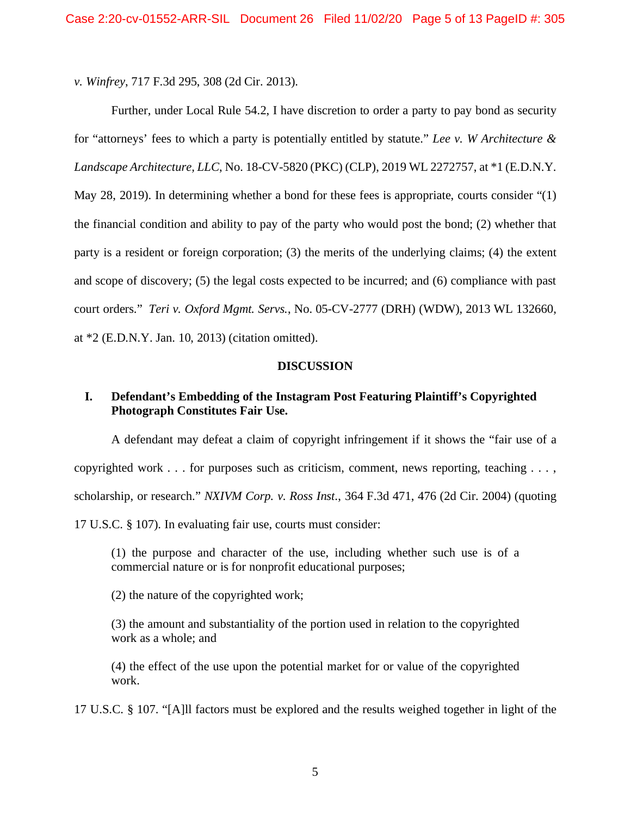*v. Winfrey*, 717 F.3d 295, 308 (2d Cir. 2013).

Further, under Local Rule 54.2, I have discretion to order a party to pay bond as security for "attorneys' fees to which a party is potentially entitled by statute." *Lee v. W Architecture & Landscape Architecture, LLC*, No. 18-CV-5820 (PKC) (CLP), 2019 WL 2272757, at \*1 (E.D.N.Y. May 28, 2019). In determining whether a bond for these fees is appropriate, courts consider "(1) the financial condition and ability to pay of the party who would post the bond; (2) whether that party is a resident or foreign corporation; (3) the merits of the underlying claims; (4) the extent and scope of discovery; (5) the legal costs expected to be incurred; and (6) compliance with past court orders." *Teri v. Oxford Mgmt. Servs.*, No. 05-CV-2777 (DRH) (WDW), 2013 WL 132660, at \*2 (E.D.N.Y. Jan. 10, 2013) (citation omitted).

#### **DISCUSSION**

# **I. Defendant's Embedding of the Instagram Post Featuring Plaintiff's Copyrighted Photograph Constitutes Fair Use.**

A defendant may defeat a claim of copyright infringement if it shows the "fair use of a copyrighted work . . . for purposes such as criticism, comment, news reporting, teaching . . . , scholarship, or research." *NXIVM Corp. v. Ross Inst*., 364 F.3d 471, 476 (2d Cir. 2004) (quoting 17 U.S.C. § 107). In evaluating fair use, courts must consider:

(1) the purpose and character of the use, including whether such use is of a commercial nature or is for nonprofit educational purposes;

(2) the nature of the copyrighted work;

(3) the amount and substantiality of the portion used in relation to the copyrighted work as a whole; and

(4) the effect of the use upon the potential market for or value of the copyrighted work.

17 U.S.C. § 107. "[A]ll factors must be explored and the results weighed together in light of the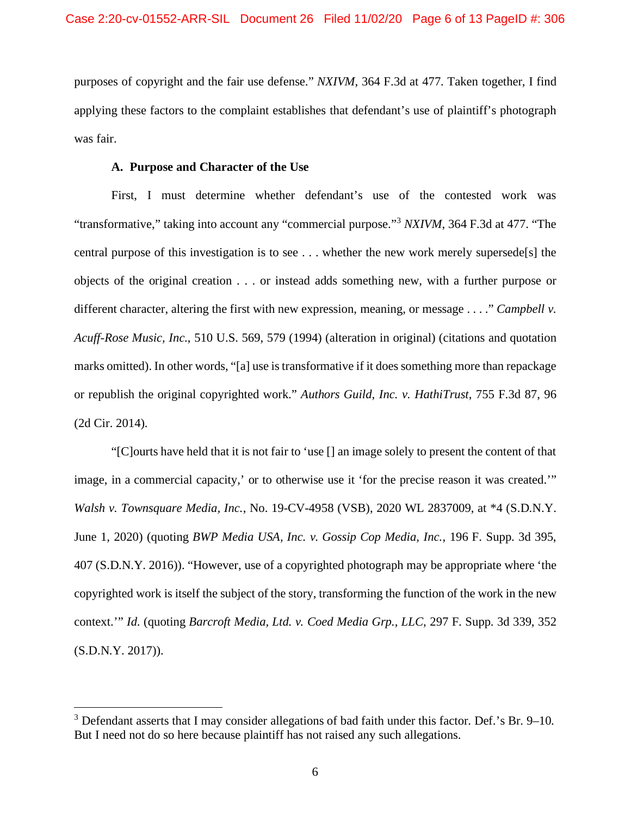purposes of copyright and the fair use defense." *NXIVM*, 364 F.3d at 477. Taken together, I find applying these factors to the complaint establishes that defendant's use of plaintiff's photograph was fair.

## **A. Purpose and Character of the Use**

First, I must determine whether defendant's use of the contested work was "transformative," taking into account any "commercial purpose."[3](#page-5-0) *NXIVM*, 364 F.3d at 477. "The central purpose of this investigation is to see . . . whether the new work merely supersede[s] the objects of the original creation . . . or instead adds something new, with a further purpose or different character, altering the first with new expression, meaning, or message . . . ." *Campbell v. Acuff-Rose Music, Inc.*, 510 U.S. 569, 579 (1994) (alteration in original) (citations and quotation marks omitted). In other words, "[a] use is transformative if it does something more than repackage or republish the original copyrighted work." *Authors Guild, Inc. v. HathiTrust*, 755 F.3d 87, 96 (2d Cir. 2014).

"[C]ourts have held that it is not fair to 'use [] an image solely to present the content of that image, in a commercial capacity,' or to otherwise use it 'for the precise reason it was created.'" *Walsh v. Townsquare Media, Inc.*, No. 19-CV-4958 (VSB), 2020 WL 2837009, at \*4 (S.D.N.Y. June 1, 2020) (quoting *BWP Media USA, Inc. v. Gossip Cop Media, Inc.*, 196 F. Supp. 3d 395, 407 (S.D.N.Y. 2016)). "However, use of a copyrighted photograph may be appropriate where 'the copyrighted work is itself the subject of the story, transforming the function of the work in the new context.'" *Id*. (quoting *Barcroft Media, Ltd. v. Coed Media Grp., LLC*, 297 F. Supp. 3d 339, 352 (S.D.N.Y. 2017)).

<span id="page-5-0"></span> $3$  Defendant asserts that I may consider allegations of bad faith under this factor. Def.'s Br. 9–10. But I need not do so here because plaintiff has not raised any such allegations.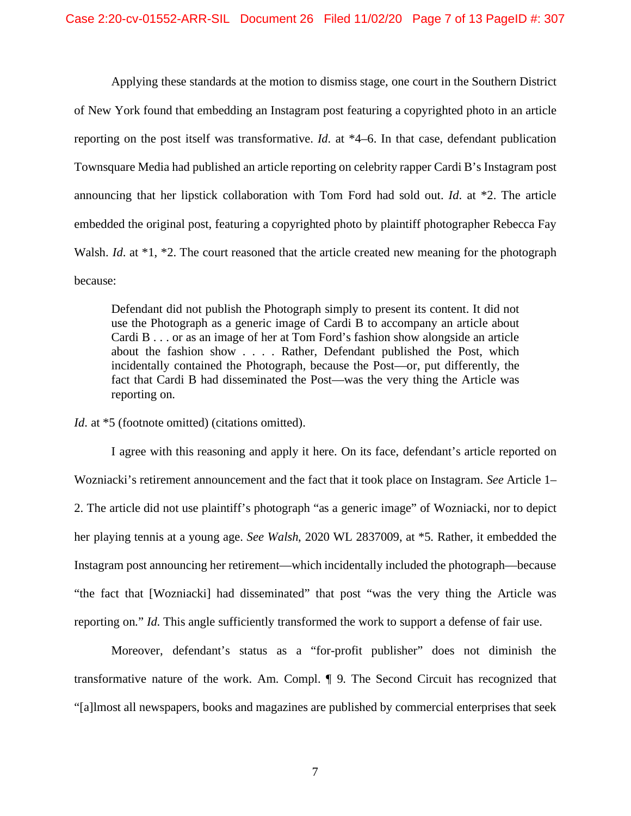Applying these standards at the motion to dismiss stage, one court in the Southern District of New York found that embedding an Instagram post featuring a copyrighted photo in an article reporting on the post itself was transformative. *Id*. at \*4–6. In that case, defendant publication Townsquare Media had published an article reporting on celebrity rapper Cardi B's Instagram post announcing that her lipstick collaboration with Tom Ford had sold out. *Id*. at \*2. The article embedded the original post, featuring a copyrighted photo by plaintiff photographer Rebecca Fay Walsh. *Id.* at \*1, \*2. The court reasoned that the article created new meaning for the photograph because:

Defendant did not publish the Photograph simply to present its content. It did not use the Photograph as a generic image of Cardi B to accompany an article about Cardi B . . . or as an image of her at Tom Ford's fashion show alongside an article about the fashion show . . . . Rather, Defendant published the Post, which incidentally contained the Photograph, because the Post—or, put differently, the fact that Cardi B had disseminated the Post—was the very thing the Article was reporting on.

*Id.* at  $*5$  (footnote omitted) (citations omitted).

I agree with this reasoning and apply it here. On its face, defendant's article reported on Wozniacki's retirement announcement and the fact that it took place on Instagram. *See* Article 1– 2. The article did not use plaintiff's photograph "as a generic image" of Wozniacki, nor to depict her playing tennis at a young age. *See Walsh*, 2020 WL 2837009, at \*5. Rather, it embedded the Instagram post announcing her retirement—which incidentally included the photograph—because "the fact that [Wozniacki] had disseminated" that post "was the very thing the Article was reporting on." *Id*. This angle sufficiently transformed the work to support a defense of fair use.

Moreover, defendant's status as a "for-profit publisher" does not diminish the transformative nature of the work. Am. Compl. ¶ 9. The Second Circuit has recognized that "[a]lmost all newspapers, books and magazines are published by commercial enterprises that seek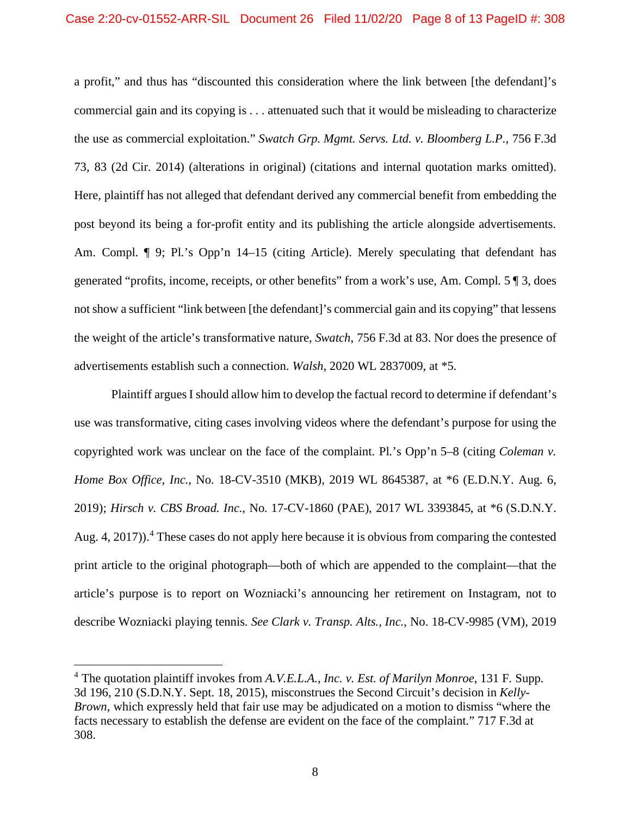a profit," and thus has "discounted this consideration where the link between [the defendant]'s commercial gain and its copying is . . . attenuated such that it would be misleading to characterize the use as commercial exploitation." *Swatch Grp. Mgmt. Servs. Ltd. v. Bloomberg L.P.*, 756 F.3d 73, 83 (2d Cir. 2014) (alterations in original) (citations and internal quotation marks omitted). Here, plaintiff has not alleged that defendant derived any commercial benefit from embedding the post beyond its being a for-profit entity and its publishing the article alongside advertisements. Am. Compl.  $\P$  9; Pl.'s Opp'n 14–15 (citing Article). Merely speculating that defendant has generated "profits, income, receipts, or other benefits" from a work's use, Am. Compl. 5 ¶ 3, does not show a sufficient "link between [the defendant]'s commercial gain and its copying" that lessens the weight of the article's transformative nature, *Swatch*, 756 F.3d at 83. Nor does the presence of advertisements establish such a connection. *Walsh*, 2020 WL 2837009, at \*5.

Plaintiff argues I should allow him to develop the factual record to determine if defendant's use was transformative, citing cases involving videos where the defendant's purpose for using the copyrighted work was unclear on the face of the complaint. Pl.'s Opp'n 5–8 (citing *Coleman v. Home Box Office, Inc.*, No. 18-CV-3510 (MKB), 2019 WL 8645387, at \*6 (E.D.N.Y. Aug. 6, 2019); *Hirsch v. CBS Broad. Inc.*, No. 17-CV-1860 (PAE), 2017 WL 3393845, at \*6 (S.D.N.Y. Aug. [4](#page-7-0), 2017)).<sup>4</sup> These cases do not apply here because it is obvious from comparing the contested print article to the original photograph—both of which are appended to the complaint—that the article's purpose is to report on Wozniacki's announcing her retirement on Instagram, not to describe Wozniacki playing tennis. *See Clark v. Transp. Alts., Inc.*, No. 18-CV-9985 (VM), 2019

<span id="page-7-0"></span><sup>4</sup> The quotation plaintiff invokes from *A.V.E.L.A., Inc. v. Est. of Marilyn Monroe*, 131 F. Supp. 3d 196, 210 (S.D.N.Y. Sept. 18, 2015), misconstrues the Second Circuit's decision in *Kelly-Brown*, which expressly held that fair use may be adjudicated on a motion to dismiss "where the facts necessary to establish the defense are evident on the face of the complaint." 717 F.3d at 308.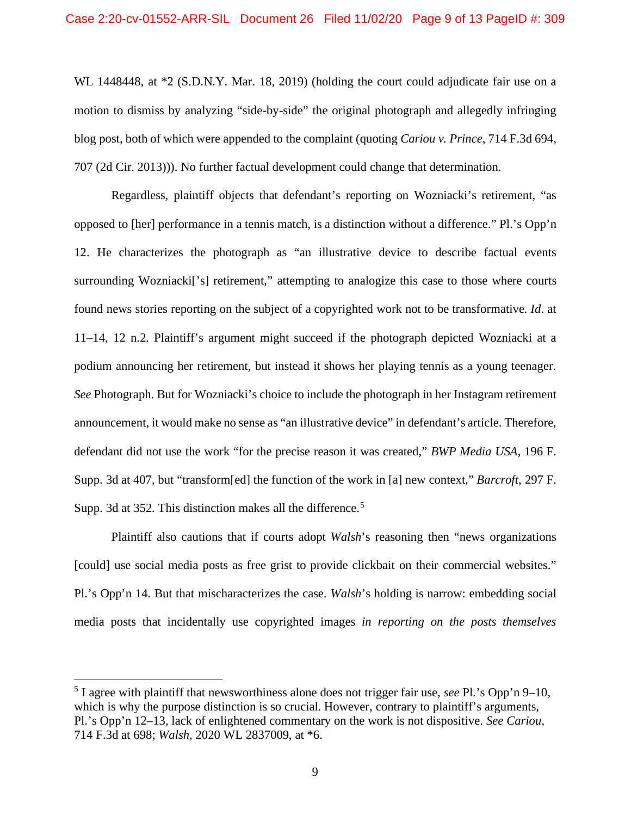WL 1448448, at  $*2$  (S.D.N.Y. Mar. 18, 2019) (holding the court could adjudicate fair use on a motion to dismiss by analyzing "side-by-side" the original photograph and allegedly infringing blog post, both of which were appended to the complaint (quoting *Cariou v. Prince*, 714 F.3d 694, 707 (2d Cir. 2013))). No further factual development could change that determination.

Regardless, plaintiff objects that defendant's reporting on Wozniacki's retirement, "as opposed to [her] performance in a tennis match, is a distinction without a difference." Pl.'s Opp'n 12. He characterizes the photograph as "an illustrative device to describe factual events surrounding Wozniacki<sup>['s]</sup> retirement," attempting to analogize this case to those where courts found news stories reporting on the subject of a copyrighted work not to be transformative. *Id*. at 11–14, 12 n.2. Plaintiff's argument might succeed if the photograph depicted Wozniacki at a podium announcing her retirement, but instead it shows her playing tennis as a young teenager. *See* Photograph. But for Wozniacki's choice to include the photograph in her Instagram retirement announcement, it would make no sense as "an illustrative device" in defendant's article. Therefore, defendant did not use the work "for the precise reason it was created," *BWP Media USA*, 196 F. Supp. 3d at 407, but "transform[ed] the function of the work in [a] new context," *Barcroft*, 297 F. Supp. 3d at 3[5](#page-8-0)2. This distinction makes all the difference.<sup>5</sup>

Plaintiff also cautions that if courts adopt *Walsh*'s reasoning then "news organizations [could] use social media posts as free grist to provide clickbait on their commercial websites." Pl.'s Opp'n 14. But that mischaracterizes the case. *Walsh*'s holding is narrow: embedding social media posts that incidentally use copyrighted images *in reporting on the posts themselves*

<span id="page-8-0"></span><sup>5</sup> I agree with plaintiff that newsworthiness alone does not trigger fair use, *see* Pl.'s Opp'n 9–10, which is why the purpose distinction is so crucial. However, contrary to plaintiff's arguments, Pl.'s Opp'n 12–13, lack of enlightened commentary on the work is not dispositive. *See Cariou*, 714 F.3d at 698; *Walsh*, 2020 WL 2837009, at \*6.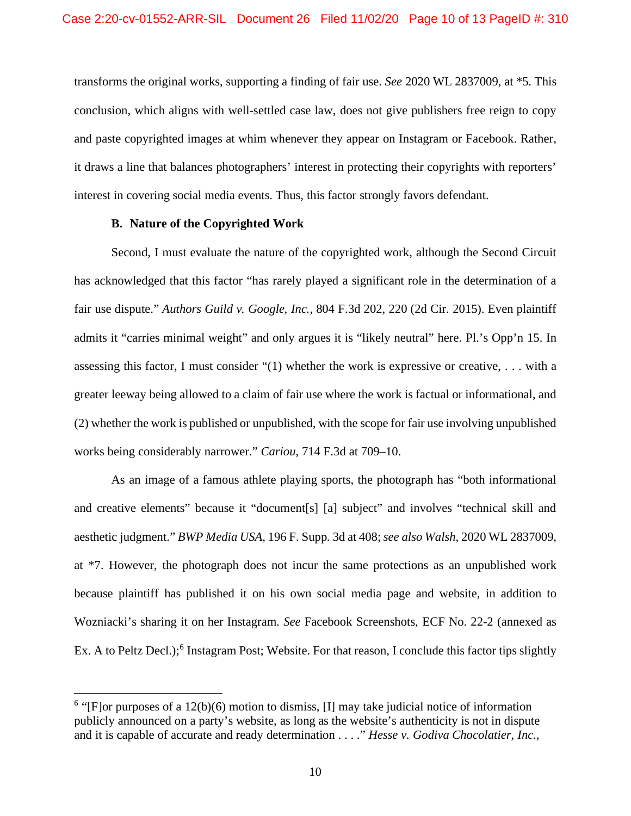transforms the original works, supporting a finding of fair use. *See* 2020 WL 2837009, at \*5. This conclusion, which aligns with well-settled case law, does not give publishers free reign to copy and paste copyrighted images at whim whenever they appear on Instagram or Facebook. Rather, it draws a line that balances photographers' interest in protecting their copyrights with reporters' interest in covering social media events. Thus, this factor strongly favors defendant.

## **B. Nature of the Copyrighted Work**

Second, I must evaluate the nature of the copyrighted work, although the Second Circuit has acknowledged that this factor "has rarely played a significant role in the determination of a fair use dispute." *Authors Guild v. Google, Inc.*, 804 F.3d 202, 220 (2d Cir. 2015). Even plaintiff admits it "carries minimal weight" and only argues it is "likely neutral" here. Pl.'s Opp'n 15. In assessing this factor, I must consider "(1) whether the work is expressive or creative, . . . with a greater leeway being allowed to a claim of fair use where the work is factual or informational, and (2) whether the work is published or unpublished, with the scope for fair use involving unpublished works being considerably narrower." *Cariou*, 714 F.3d at 709–10.

As an image of a famous athlete playing sports, the photograph has "both informational and creative elements" because it "document[s] [a] subject" and involves "technical skill and aesthetic judgment." *BWP Media USA*, 196 F. Supp. 3d at 408; *see also Walsh*, 2020 WL 2837009, at \*7. However, the photograph does not incur the same protections as an unpublished work because plaintiff has published it on his own social media page and website, in addition to Wozniacki's sharing it on her Instagram. *See* Facebook Screenshots, ECF No. 22-2 (annexed as Ex. A to Peltz Decl.);<sup>[6](#page-9-0)</sup> Instagram Post; Website. For that reason, I conclude this factor tips slightly

<span id="page-9-0"></span><sup>&</sup>lt;sup>6</sup> "[F]or purposes of a 12(b)(6) motion to dismiss, [I] may take judicial notice of information publicly announced on a party's website, as long as the website's authenticity is not in dispute and it is capable of accurate and ready determination . . . ." *Hesse v. Godiva Chocolatier, Inc.*,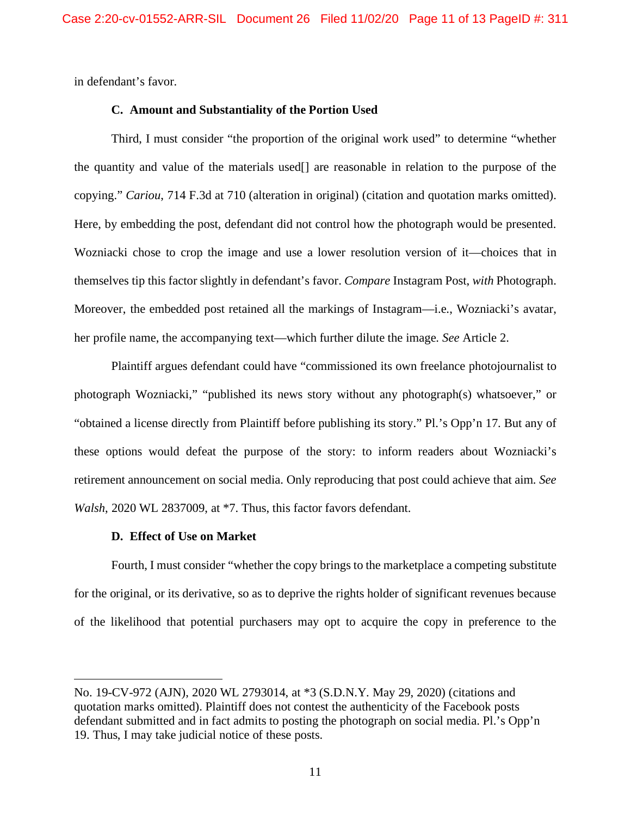in defendant's favor.

## **C. Amount and Substantiality of the Portion Used**

Third, I must consider "the proportion of the original work used" to determine "whether the quantity and value of the materials used[] are reasonable in relation to the purpose of the copying." *Cariou*, 714 F.3d at 710 (alteration in original) (citation and quotation marks omitted). Here, by embedding the post, defendant did not control how the photograph would be presented. Wozniacki chose to crop the image and use a lower resolution version of it—choices that in themselves tip this factor slightly in defendant's favor. *Compare* Instagram Post, *with* Photograph. Moreover, the embedded post retained all the markings of Instagram—i.e., Wozniacki's avatar, her profile name, the accompanying text—which further dilute the image. *See* Article 2.

Plaintiff argues defendant could have "commissioned its own freelance photojournalist to photograph Wozniacki," "published its news story without any photograph(s) whatsoever," or "obtained a license directly from Plaintiff before publishing its story." Pl.'s Opp'n 17. But any of these options would defeat the purpose of the story: to inform readers about Wozniacki's retirement announcement on social media. Only reproducing that post could achieve that aim. *See Walsh*, 2020 WL 2837009, at \*7. Thus, this factor favors defendant.

## **D. Effect of Use on Market**

Fourth, I must consider "whether the copy brings to the marketplace a competing substitute for the original, or its derivative, so as to deprive the rights holder of significant revenues because of the likelihood that potential purchasers may opt to acquire the copy in preference to the

No. 19-CV-972 (AJN), 2020 WL 2793014, at \*3 (S.D.N.Y. May 29, 2020) (citations and quotation marks omitted). Plaintiff does not contest the authenticity of the Facebook posts defendant submitted and in fact admits to posting the photograph on social media. Pl.'s Opp'n 19. Thus, I may take judicial notice of these posts.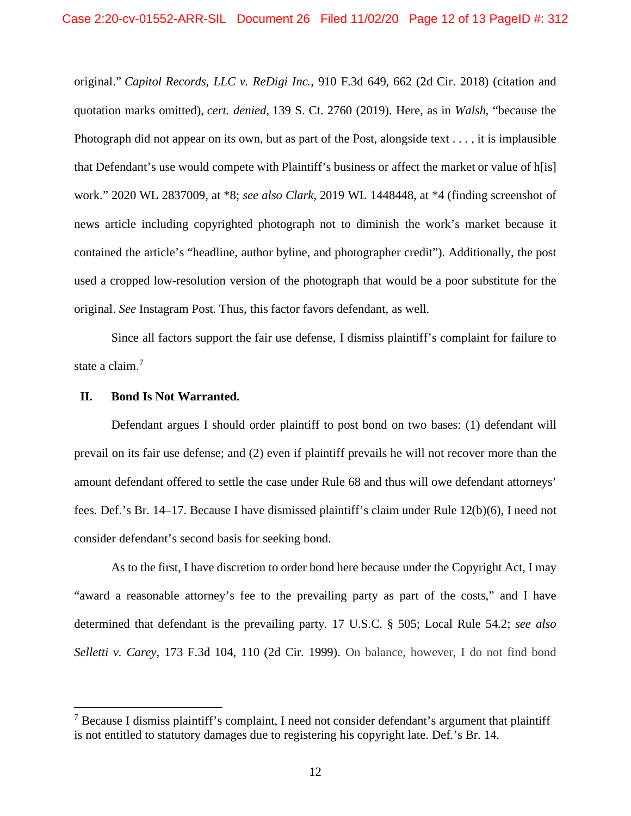original." *Capitol Records, LLC v. ReDigi Inc.*, 910 F.3d 649, 662 (2d Cir. 2018) (citation and quotation marks omitted), *cert. denied*, 139 S. Ct. 2760 (2019). Here, as in *Walsh*, "because the Photograph did not appear on its own, but as part of the Post, alongside text . . . , it is implausible that Defendant's use would compete with Plaintiff's business or affect the market or value of h[is] work." 2020 WL 2837009, at \*8; *see also Clark*, 2019 WL 1448448, at \*4 (finding screenshot of news article including copyrighted photograph not to diminish the work's market because it contained the article's "headline, author byline, and photographer credit"). Additionally, the post used a cropped low-resolution version of the photograph that would be a poor substitute for the original. *See* Instagram Post. Thus, this factor favors defendant, as well.

Since all factors support the fair use defense, I dismiss plaintiff's complaint for failure to state a claim.<sup>[7](#page-11-0)</sup>

## **II. Bond Is Not Warranted.**

Defendant argues I should order plaintiff to post bond on two bases: (1) defendant will prevail on its fair use defense; and (2) even if plaintiff prevails he will not recover more than the amount defendant offered to settle the case under Rule 68 and thus will owe defendant attorneys' fees. Def.'s Br. 14–17. Because I have dismissed plaintiff's claim under Rule 12(b)(6), I need not consider defendant's second basis for seeking bond.

As to the first, I have discretion to order bond here because under the Copyright Act, I may "award a reasonable attorney's fee to the prevailing party as part of the costs," and I have determined that defendant is the prevailing party. 17 U.S.C. § 505; Local Rule 54.2; *see also Selletti v. Carey*, 173 F.3d 104, 110 (2d Cir. 1999). On balance, however, I do not find bond

<span id="page-11-0"></span><sup>7</sup> Because I dismiss plaintiff's complaint, I need not consider defendant's argument that plaintiff is not entitled to statutory damages due to registering his copyright late. Def.'s Br. 14.